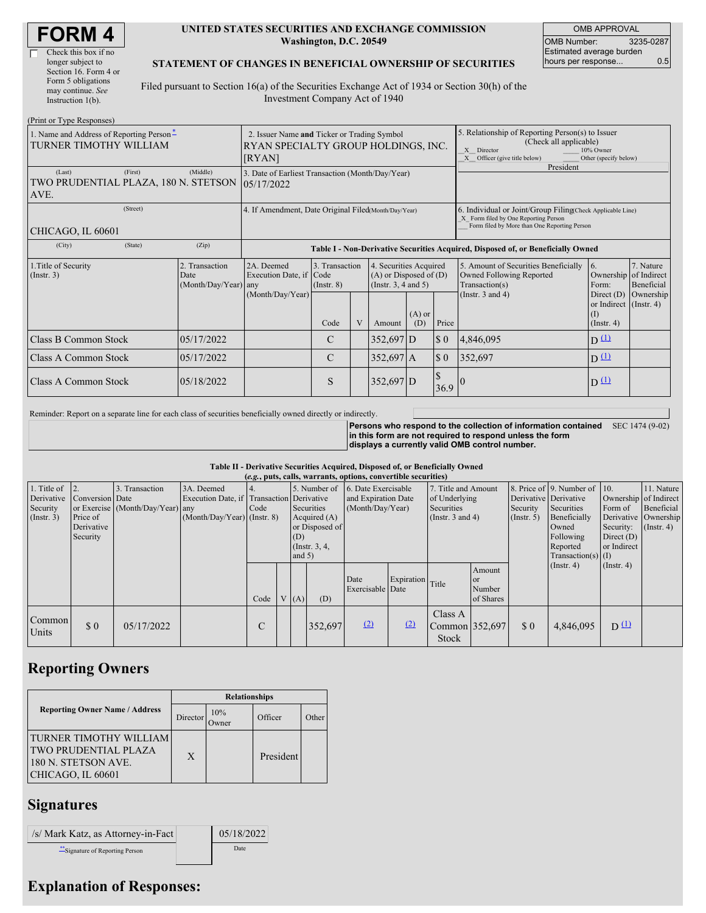| <b>FORM4</b> |
|--------------|
|--------------|

| Check this box if no  |
|-----------------------|
| longer subject to     |
| Section 16. Form 4 or |
| Form 5 obligations    |
| may continue. See     |
| Instruction 1(b).     |
|                       |

#### **UNITED STATES SECURITIES AND EXCHANGE COMMISSION Washington, D.C. 20549**

OMB APPROVAL OMB Number: 3235-0287 Estimated average burden hours per response... 0.5

### **STATEMENT OF CHANGES IN BENEFICIAL OWNERSHIP OF SECURITIES**

Filed pursuant to Section 16(a) of the Securities Exchange Act of 1934 or Section 30(h) of the Investment Company Act of 1940

| (Print or Type Responses)                                          |                                                                                              |                  |                                                                                  |                                                 |   |                                                                                  |                                                                                                                                                                |                             |                                                                                                                                                    |                                                                   |                                                  |  |
|--------------------------------------------------------------------|----------------------------------------------------------------------------------------------|------------------|----------------------------------------------------------------------------------|-------------------------------------------------|---|----------------------------------------------------------------------------------|----------------------------------------------------------------------------------------------------------------------------------------------------------------|-----------------------------|----------------------------------------------------------------------------------------------------------------------------------------------------|-------------------------------------------------------------------|--------------------------------------------------|--|
| 1. Name and Address of Reporting Person-<br>TURNER TIMOTHY WILLIAM | 2. Issuer Name and Ticker or Trading Symbol<br>RYAN SPECIALTY GROUP HOLDINGS, INC.<br>[RYAN] |                  |                                                                                  |                                                 |   |                                                                                  | 5. Relationship of Reporting Person(s) to Issuer<br>(Check all applicable)<br>X Director<br>10% Owner<br>X Officer (give title below)<br>Other (specify below) |                             |                                                                                                                                                    |                                                                   |                                                  |  |
| (Last)<br>TWO PRUDENTIAL PLAZA, 180 N. STETSON<br>AVE.             | (First)                                                                                      | (Middle)         | 3. Date of Earliest Transaction (Month/Day/Year)<br>105/17/2022                  |                                                 |   |                                                                                  |                                                                                                                                                                |                             | President                                                                                                                                          |                                                                   |                                                  |  |
| (Street)<br>CHICAGO, IL 60601                                      |                                                                                              |                  | 4. If Amendment, Date Original Filed(Month/Day/Year)                             |                                                 |   |                                                                                  |                                                                                                                                                                |                             | 6. Individual or Joint/Group Filing Check Applicable Line)<br>X Form filed by One Reporting Person<br>Form filed by More than One Reporting Person |                                                                   |                                                  |  |
| (City)                                                             | (State)                                                                                      | (Zip)            | Table I - Non-Derivative Securities Acquired, Disposed of, or Beneficially Owned |                                                 |   |                                                                                  |                                                                                                                                                                |                             |                                                                                                                                                    |                                                                   |                                                  |  |
| 1. Title of Security<br>2. Transaction<br>$($ Instr. 3 $)$<br>Date |                                                                                              | (Month/Day/Year) | 2A. Deemed<br>Execution Date, if Code<br>any                                     | 3. Transaction<br>$($ Instr. $8)$               |   | 4. Securities Acquired<br>$(A)$ or Disposed of $(D)$<br>(Instr. $3, 4$ and $5$ ) |                                                                                                                                                                |                             | 5. Amount of Securities Beneficially<br>Owned Following Reported<br>Transaction(s)                                                                 | $\overline{6}$ .<br>Form:                                         | 7. Nature<br>Ownership of Indirect<br>Beneficial |  |
|                                                                    |                                                                                              |                  | (Month/Day/Year)                                                                 | Code                                            | V | Amount                                                                           | $(A)$ or<br>(D)                                                                                                                                                | Price                       | (Instr. $3$ and $4$ )                                                                                                                              | Direct $(D)$<br>or Indirect (Instr. 4)<br>(I)<br>$($ Instr. 4 $)$ | Ownership                                        |  |
| Class B Common Stock                                               |                                                                                              | 05/17/2022       |                                                                                  | C                                               |   | $352,697$ D                                                                      |                                                                                                                                                                | $\boldsymbol{\mathsf{S}}$ 0 | 4,846,095                                                                                                                                          | $D^{(1)}$                                                         |                                                  |  |
| <b>Class A Common Stock</b>                                        |                                                                                              | 05/17/2022       |                                                                                  | $\boldsymbol{\mathsf{S}}$ 0<br>C<br>$352,697$ A |   |                                                                                  | 352,697                                                                                                                                                        | $D^{\text{L}}$              |                                                                                                                                                    |                                                                   |                                                  |  |
| Class A Common Stock                                               |                                                                                              | 05/18/2022       |                                                                                  | S                                               |   | 352,697 D                                                                        |                                                                                                                                                                | \$<br>36.9                  |                                                                                                                                                    | $D^{\text{L}}$                                                    |                                                  |  |

Reminder: Report on a separate line for each class of securities beneficially owned directly or indirectly.

**Persons who respond to the collection of information contained in this form are not required to respond unless the form displays a currently valid OMB control number.** SEC 1474 (9-02)

#### **Table II - Derivative Securities Acquired, Disposed of, or Beneficially Owned**

| (e.g., puts, calls, warrants, options, convertible securities) |                 |                                  |                                           |      |            |                |                                  |                          |                     |                                           |                               |                              |                      |                |                       |
|----------------------------------------------------------------|-----------------|----------------------------------|-------------------------------------------|------|------------|----------------|----------------------------------|--------------------------|---------------------|-------------------------------------------|-------------------------------|------------------------------|----------------------|----------------|-----------------------|
| 1. Title of                                                    | $\vert$ 2.      | 3. Transaction                   | 3A. Deemed                                |      |            |                | 5. Number of 6. Date Exercisable |                          | 7. Title and Amount |                                           |                               | 8. Price of 9. Number of 10. |                      | 11. Nature     |                       |
| Derivative                                                     | Conversion Date |                                  | Execution Date, if Transaction Derivative |      |            |                |                                  | and Expiration Date      |                     | of Underlying                             |                               | Derivative Derivative        |                      |                | Ownership of Indirect |
| Security                                                       |                 | or Exercise (Month/Day/Year) any |                                           | Code | Securities |                | (Month/Day/Year)                 |                          | Securities          |                                           | Security                      | Securities                   | Form of              | Beneficial     |                       |
| $($ Instr. 3 $)$                                               | Price of        |                                  | $(Month/Day/Year)$ (Instr. 8)             |      |            | Acquired $(A)$ |                                  | (Instr. $3$ and $4$ )    |                     | $($ Instr. 5)                             | Beneficially                  |                              | Derivative Ownership |                |                       |
|                                                                | Derivative      |                                  |                                           |      |            |                | or Disposed of                   |                          |                     |                                           | Owned                         | Security:                    | $($ Instr. 4)        |                |                       |
|                                                                | Security        |                                  |                                           |      |            | (D)            |                                  |                          |                     |                                           | Following                     | Direct $(D)$                 |                      |                |                       |
|                                                                |                 |                                  |                                           |      |            |                | (Instr. $3, 4$ ,                 |                          |                     |                                           | Reported                      | or Indirect                  |                      |                |                       |
|                                                                |                 |                                  |                                           |      |            | and $5)$       |                                  |                          |                     |                                           |                               |                              | Transaction(s) $(I)$ |                |                       |
|                                                                |                 |                                  |                                           |      |            |                |                                  | Date<br>Exercisable Date | Expiration Title    |                                           | Amount<br><b>or</b><br>Number |                              | (Insert, 4)          | (Insert, 4)    |                       |
|                                                                |                 |                                  |                                           | Code |            | V(A)           | (D)                              |                          |                     |                                           | of Shares                     |                              |                      |                |                       |
| Common<br>Units                                                | $\Omega$        | 05/17/2022                       |                                           |      |            |                | 352,697                          | (2)                      | (2)                 | Class A<br>Common 352,697<br><b>Stock</b> |                               | \$0                          | 4,846,095            | $D^{\text{L}}$ |                       |

## **Reporting Owners**

|                                                                                                          | <b>Relationships</b> |                     |           |       |  |  |  |
|----------------------------------------------------------------------------------------------------------|----------------------|---------------------|-----------|-------|--|--|--|
| <b>Reporting Owner Name / Address</b>                                                                    | Director             | 10%<br><b>Tymer</b> | Officer   | Other |  |  |  |
| <b>TURNER TIMOTHY WILLIAM</b><br><b>TWO PRUDENTIAL PLAZA</b><br>180 N. STETSON AVE.<br>CHICAGO, IL 60601 | $\mathbf{X}$         |                     | President |       |  |  |  |

### **Signatures**

| /s/ Mark Katz, as Attorney-in-Fact | 05/18/2022 |
|------------------------------------|------------|
| Signature of Reporting Person      | Date       |

# **Explanation of Responses:**